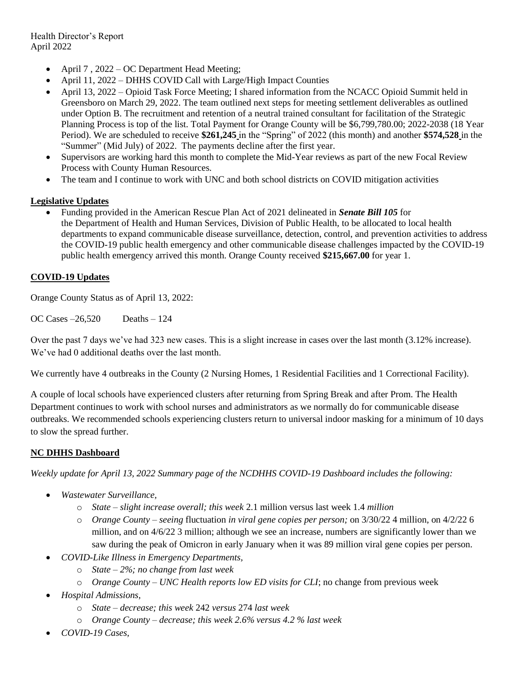- April 7 , 2022 OC Department Head Meeting;
- April 11, 2022 DHHS COVID Call with Large/High Impact Counties
- April 13, 2022 Opioid Task Force Meeting; I shared information from the NCACC Opioid Summit held in Greensboro on March 29, 2022. The team outlined next steps for meeting settlement deliverables as outlined under Option B. The recruitment and retention of a neutral trained consultant for facilitation of the Strategic Planning Process is top of the list. Total Payment for Orange County will be \$6,799,780.00; 2022-2038 (18 Year Period). We are scheduled to receive **\$261,245** in the "Spring" of 2022 (this month) and another **\$574,528** in the "Summer" (Mid July) of 2022. The payments decline after the first year.
- Supervisors are working hard this month to complete the Mid-Year reviews as part of the new Focal Review Process with County Human Resources.
- The team and I continue to work with UNC and both school districts on COVID mitigation activities

### **Legislative Updates**

 Funding provided in the American Rescue Plan Act of 2021 delineated in *Senate Bill 105* for the Department of Health and Human Services, Division of Public Health, to be allocated to local health departments to expand communicable disease surveillance, detection, control, and prevention activities to address the COVID-19 public health emergency and other communicable disease challenges impacted by the COVID-19 public health emergency arrived this month. Orange County received **\$215,667.00** for year 1.

#### **COVID-19 Updates**

Orange County Status as of April 13, 2022:

OC Cases –26,520 Deaths – 124

Over the past 7 days we've had 323 new cases. This is a slight increase in cases over the last month (3.12% increase). We've had 0 additional deaths over the last month.

We currently have 4 outbreaks in the County (2 Nursing Homes, 1 Residential Facilities and 1 Correctional Facility).

A couple of local schools have experienced clusters after returning from Spring Break and after Prom. The Health Department continues to work with school nurses and administrators as we normally do for communicable disease outbreaks. We recommended schools experiencing clusters return to universal indoor masking for a minimum of 10 days to slow the spread further.

### **NC DHHS Dashboard**

*Weekly update for April 13, 2022 Summary page of the NCDHHS COVID-19 Dashboard includes the following:*

- *Wastewater Surveillance,* 
	- o *State – slight increase overall; this week* 2.1 million versus last week 1.4 *million*
	- o *Orange County – seeing* fluctuation *in viral gene copies per person;* on 3/30/22 4 million, on 4/2/22 6 million, and on 4/6/22 3 million; although we see an increase, numbers are significantly lower than we saw during the peak of Omicron in early January when it was 89 million viral gene copies per person.
- *COVID-Like Illness in Emergency Departments,*
	- o *State – 2%; no change from last week*
	- o *Orange County – UNC Health reports low ED visits for CLI*; no change from previous week
- *Hospital Admissions,* 
	- o *State – decrease; this week* 242 *versus* 274 *last week*
	- o *Orange County – decrease; this week 2.6% versus 4.2 % last week*
- *COVID-19 Cases,*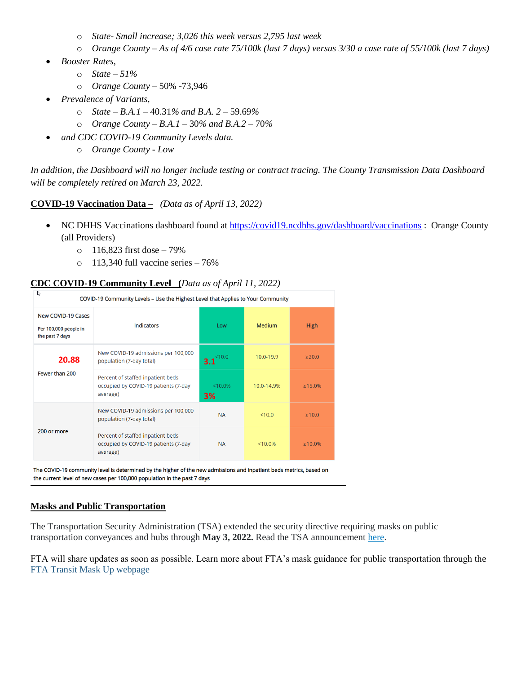- o *State- Small increase; 3,026 this week versus 2,795 last week*
- o *Orange County – As of 4/6 case rate 75/100k (last 7 days) versus 3/30 a case rate of 55/100k (last 7 days)*
- *Booster Rates,*
	- o *State – 51%*
	- o *Orange County –* 50% -73,946
- *Prevalence of Variants,*
	- o *State – B.A.1*  40.31*% and B.A. 2 –* 59.69*%*
	- o *Orange County – B.A.1 –* 30*% and B.A.2 –* 70*%*
	- *and CDC COVID-19 Community Levels data.* 
		- o *Orange County - Low*

*In addition, the Dashboard will no longer include testing or contract tracing. The County Transmission Data Dashboard will be completely retired on March 23, 2022.*

## **COVID-19 Vaccination Data –** *(Data as of April 13, 2022)*

- NC DHHS Vaccinations dashboard found at<https://covid19.ncdhhs.gov/dashboard/vaccinations> : Orange County (all Providers)
	- $\circ$  116,823 first dose 79%
	- $\circ$  113,340 full vaccine series 76%

# **CDC COVID-19 Community Level (***Data as of April 11, 2022)*

| V<br>COVID-19 Community Levels - Use the Highest Level that Applies to Your Community |                                                                                       |                  |               |             |
|---------------------------------------------------------------------------------------|---------------------------------------------------------------------------------------|------------------|---------------|-------------|
| <b>New COVID-19 Cases</b><br>Per 100,000 people in<br>the past 7 days                 | <b>Indicators</b>                                                                     | Low              | <b>Medium</b> | <b>High</b> |
| 20.88<br>Fewer than 200                                                               | New COVID-19 admissions per 100,000<br>population (7-day total)                       | <10.0<br>3.1     | 10.0-19.9     | >20.0       |
|                                                                                       | Percent of staffed inpatient beds<br>occupied by COVID-19 patients (7-day<br>average) | $< 10.0\%$<br>3% | 10.0-14.9%    | $>15.0\%$   |
| 200 or more                                                                           | New COVID-19 admissions per 100,000<br>population (7-day total)                       | <b>NA</b>        | < 10.0        | >10.0       |
|                                                                                       | Percent of staffed inpatient beds<br>occupied by COVID-19 patients (7-day<br>average) | <b>NA</b>        | $< 10.0\%$    | $>10.0\%$   |

The COVID-19 community level is determined by the higher of the new admissions and inpatient beds metrics, based on the current level of new cases per 100,000 population in the past 7 days

## **Masks and Public Transportation**

The Transportation Security Administration (TSA) extended the security directive requiring masks on public transportation conveyances and hubs through **May 3, 2022.** Read the TSA announcement [here.](https://www.tsa.gov/news/press/statements/2022/04/13/tsa-extends-face-mask-requirement-through-may-3-2022)

FTA will share updates as soon as possible. Learn more about FTA's mask guidance for public transportation through the [FTA Transit Mask Up webpage](https://urldefense.com/v3/__https:/lnks.gd/l/eyJhbGciOiJIUzI1NiJ9.eyJidWxsZXRpbl9saW5rX2lkIjoxMDYsInVyaSI6ImJwMjpjbGljayIsImJ1bGxldGluX2lkIjoiMjAyMjAzMTAuNTQ3Mjk4OTEiLCJ1cmwiOiJodHRwczovL3d3dy50cmFuc2l0LmRvdC5nb3YvVHJhbnNpdE1hc2tVcCJ9.RgNASmS5iqc0SOVv2RF3JCaaNI4waaB79XLJZcnpwoA/s/717426486/br/127946266408-l__;!!HYmSToo!IyLRarrf8-eQzWDwy5-i6Ji0t6DinfcDJSU5nV7ZkLgTQc4LUJ2bl15XqbwEZcn1IGQ$)